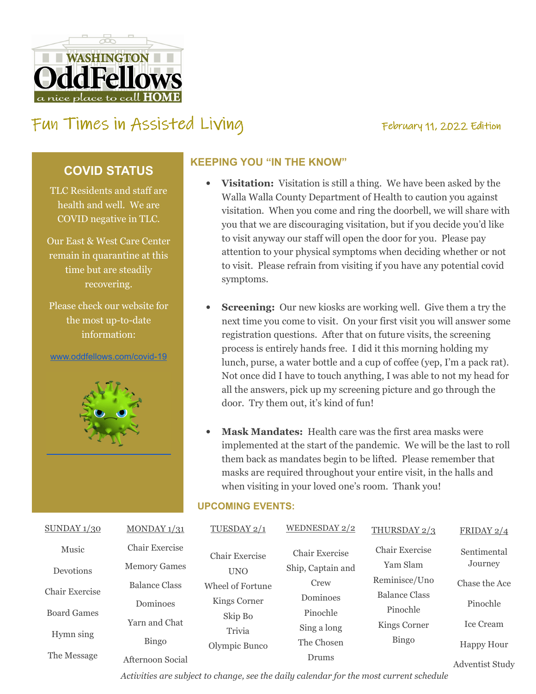

# FUN TIMES IN ASSISTED LIVING TED February 11, 2022 Edition

### **COVID STATUS**

TLC Residents and staff are health and well. We are COVID negative in TLC.

Our East & West Care Center remain in quarantine at this time but are steadily recovering.

Please check our website for the most up-to-date information:

www.oddfellows.com/covid-19



#### **KEEPING YOU "IN THE KNOW"**

- **Visitation:** Visitation is still a thing. We have been asked by the Walla Walla County Department of Health to caution you against visitation. When you come and ring the doorbell, we will share with you that we are discouraging visitation, but if you decide you'd like to visit anyway our staff will open the door for you. Please pay attention to your physical symptoms when deciding whether or not to visit. Please refrain from visiting if you have any potential covid symptoms.
- **Screening:** Our new kiosks are working well. Give them a try the next time you come to visit. On your first visit you will answer some registration questions. After that on future visits, the screening process is entirely hands free. I did it this morning holding my lunch, purse, a water bottle and a cup of coffee (yep, I'm a pack rat). Not once did I have to touch anything, I was able to not my head for all the answers, pick up my screening picture and go through the door. Try them out, it's kind of fun!
- **Mask Mandates:** Health care was the first area masks were implemented at the start of the pandemic. We will be the last to roll them back as mandates begin to be lifted. Please remember that masks are required throughout your entire visit, in the halls and when visiting in your loved one's room. Thank you!

#### **UPCOMING EVENTS:**

| SUNDAY $1/30$         | MONDAY $1/31$        | TUESDAY 2/1                      | WEDNESDAY 2/2     | THURSDAY 2/3   | FRIDAY $2/4$           |
|-----------------------|----------------------|----------------------------------|-------------------|----------------|------------------------|
| Music                 | Chair Exercise       | Chair Exercise                   | Chair Exercise    | Chair Exercise | Sentimental            |
| Devotions             | <b>Memory Games</b>  | <b>UNO</b>                       | Ship, Captain and | Yam Slam       | Journey                |
| <b>Chair Exercise</b> | <b>Balance Class</b> | Wheel of Fortune<br>Kings Corner | Crew              | Reminisce/Uno  | Chase the Ace          |
|                       | Dominoes             |                                  | Dominoes          | Balance Class  | Pinochle               |
| <b>Board Games</b>    |                      | Skip Bo                          | Pinochle          | Pinochle       |                        |
|                       | Yarn and Chat        | Trivia                           | Sing a long       | Kings Corner   | <b>Ice Cream</b>       |
| Hymn sing             | Bingo                | Olympic Bunco                    | The Chosen        | <b>Bingo</b>   | Happy Hour             |
| The Message           | Afternoon Social     |                                  | Drums             |                | <b>Adventist Study</b> |

*Activities are subject to change, see the daily calendar for the most current schedule*